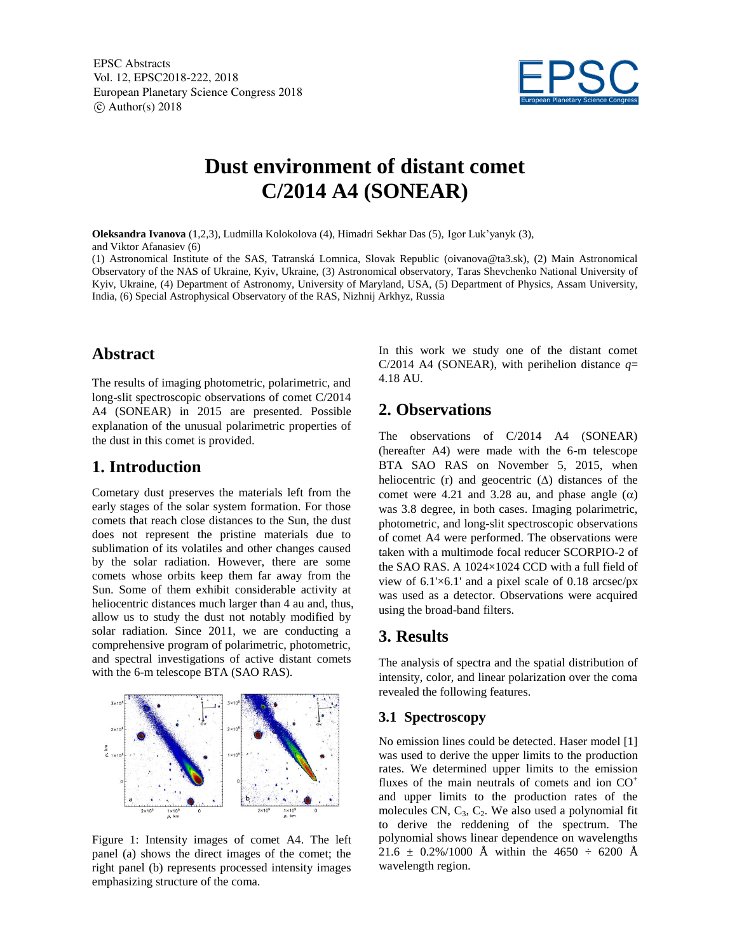EPSC Abstracts Vol. 12, EPSC2018-222, 2018 European Planetary Science Congress 2018  $\circ$  Author(s) 2018



# **Dust environment of distant comet C/2014 A4 (SONEAR)**

**Oleksandra Ivanova** (1,2,3), Ludmilla Kolokolova (4), Himadri Sekhar Das (5), Igor Luk'yanyk (3), and Viktor Afanasiev (6)

(1) Astronomical Institute of the SAS, Tatranská Lomnica, Slovak Republic (oivanova@ta3.sk), (2) Main Astronomical Observatory of the NAS of Ukraine, Kyiv, Ukraine, (3) Astronomical observatory, Taras Shevchenko National University of Kyiv, Ukraine, (4) Department of Astronomy, University of Maryland, USA, (5) Department of Physics, Assam University, India, (6) Special Astrophysical Observatory of the RAS, Nizhnij Arkhyz, Russia

### **Abstract**

The results of imaging photometric, polarimetric, and long-slit spectroscopic observations of comet C/2014 A4 (SONEAR) in 2015 are presented. Possible explanation of the unusual polarimetric properties of the dust in this comet is provided.

### **1. Introduction**

Cometary dust preserves the materials left from the early stages of the solar system formation. For those comets that reach close distances to the Sun, the dust does not represent the pristine materials due to sublimation of its volatiles and other changes caused by the solar radiation. However, there are some comets whose orbits keep them far away from the Sun. Some of them exhibit considerable activity at heliocentric distances much larger than 4 au and, thus, allow us to study the dust not notably modified by solar radiation. Since 2011, we are conducting a comprehensive program of polarimetric, photometric, and spectral investigations of active distant comets with the 6-m telescope BTA (SAO RAS).



Figure 1: Intensity images of comet A4. The left panel (a) shows the direct images of the comet; the right panel (b) represents processed intensity images emphasizing structure of the coma.

In this work we study one of the distant comet C/2014 A4 (SONEAR), with perihelion distance  $q=$ 4.18 AU.

## **2. Observations**

The observations of C/2014 A4 (SONEAR) (hereafter A4) were made with the 6-m telescope BTA SAO RAS on November 5, 2015, when heliocentric (r) and geocentric  $(\Delta)$  distances of the comet were 4.21 and 3.28 au, and phase angle  $(\alpha)$ was 3.8 degree, in both cases. Imaging polarimetric, photometric, and long-slit spectroscopic observations of comet A4 were performed. The observations were taken with a multimode focal reducer SCORPIO-2 of the SAO RAS. A 1024×1024 CCD with a full field of view of 6.1'×6.1' and a pixel scale of 0.18 arcsec/px was used as a detector. Observations were acquired using the broad-band filters.

### **3. Results**

The analysis of spectra and the spatial distribution of intensity, color, and linear polarization over the coma revealed the following features.

#### **3.1 Spectroscopy**

No emission lines could be detected. Haser model [1] was used to derive the upper limits to the production rates. We determined upper limits to the emission fluxes of the main neutrals of comets and ion  $CO<sup>+</sup>$ and upper limits to the production rates of the molecules CN,  $C_3$ ,  $C_2$ . We also used a polynomial fit to derive the reddening of the spectrum. The polynomial shows linear dependence on wavelengths 21.6  $\pm$  0.2%/1000 Å within the 4650  $\div$  6200 Å wavelength region.